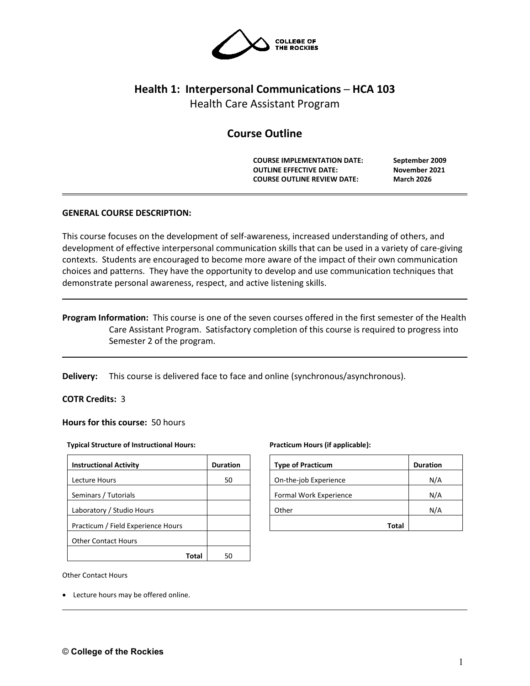

# **Health 1: Interpersonal Communications ─ HCA 103**

Health Care Assistant Program

# **Course Outline**

**COURSE IMPLEMENTATION DATE: September 2009 OUTLINE EFFECTIVE DATE: November 2021 COURSE OUTLINE REVIEW DATE: March 2026**

# **GENERAL COURSE DESCRIPTION:**

This course focuses on the development of self-awareness, increased understanding of others, and development of effective interpersonal communication skills that can be used in a variety of care-giving contexts. Students are encouraged to become more aware of the impact of their own communication choices and patterns. They have the opportunity to develop and use communication techniques that demonstrate personal awareness, respect, and active listening skills.

# **Program Information:** This course is one of the seven courses offered in the first semester of the Health Care Assistant Program. Satisfactory completion of this course is required to progress into Semester 2 of the program.

**Delivery:** This course is delivered face to face and online (synchronous/asynchronous).

# **COTR Credits:** 3

**Hours for this course:** 50 hours

#### **Typical Structure of Instructional Hours:**

| <b>Instructional Activity</b>      | <b>Duration</b> |  |
|------------------------------------|-----------------|--|
| Lecture Hours                      | 50              |  |
| Seminars / Tutorials               |                 |  |
| Laboratory / Studio Hours          |                 |  |
| Practicum / Field Experience Hours |                 |  |
| <b>Other Contact Hours</b>         |                 |  |
|                                    |                 |  |

#### **Practicum Hours (if applicable):**

| <b>Type of Practicum</b> | <b>Duration</b> |
|--------------------------|-----------------|
| On-the-job Experience    | N/A             |
| Formal Work Experience   | N/A             |
| Other                    | N/A             |
| Total                    |                 |

Other Contact Hours

• Lecture hours may be offered online.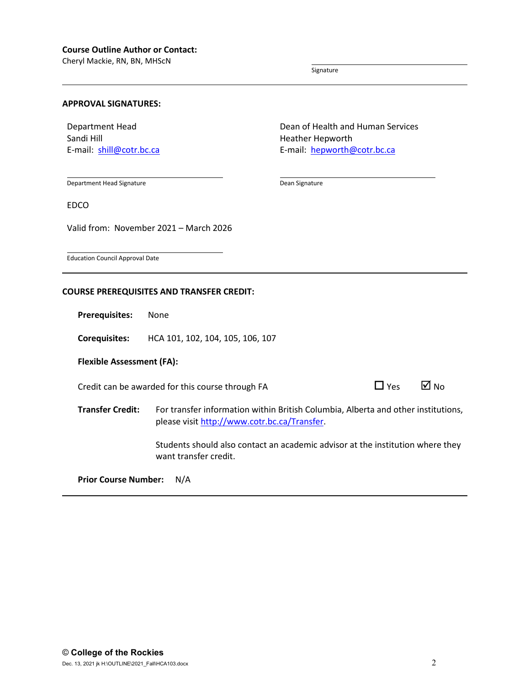Cheryl Mackie, RN, BN, MHScN

Signature

Heather Hepworth

Dean Signature

Dean of Health and Human Services

E-mail: [hepworth@cotr.bc.ca](mailto:hepworth@cotr.bc.ca)

# **APPROVAL SIGNATURES:**

Department Head Sandi Hill E-mail: [shill@cotr.bc.ca](mailto:shill@cotr.bc.ca)

Department Head Signature

EDCO

Valid from: November 2021 – March 2026

Education Council Approval Date

# **COURSE PREREQUISITES AND TRANSFER CREDIT:**

**Prerequisites:** None

**Corequisites:** HCA 101, 102, 104, 105, 106, 107

**Flexible Assessment (FA):**

Credit can be awarded for this course through FA  $\Box$  Yes  $\Box$  No

**Transfer Credit:** For transfer information within British Columbia, Alberta and other institutions, please visit [http://www.cotr.bc.ca/Transfer.](http://www.cotr.bc.ca/Transfer)

> Students should also contact an academic advisor at the institution where they want transfer credit.

**Prior Course Number:** N/A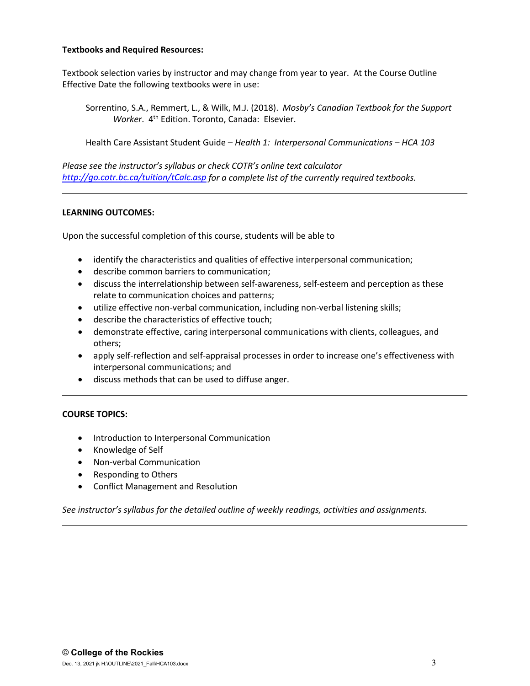# **Textbooks and Required Resources:**

Textbook selection varies by instructor and may change from year to year. At the Course Outline Effective Date the following textbooks were in use:

Sorrentino, S.A., Remmert, L., & Wilk, M.J. (2018). *Mosby's Canadian Textbook for the Support Worker.* 4<sup>th</sup> Edition. Toronto, Canada: Elsevier.

Health Care Assistant Student Guide – *Health 1: Interpersonal Communications – HCA 103*

*Please see the instructor's syllabus or check COTR's online text calculator <http://go.cotr.bc.ca/tuition/tCalc.asp> for a complete list of the currently required textbooks.*

# **LEARNING OUTCOMES:**

Upon the successful completion of this course, students will be able to

- identify the characteristics and qualities of effective interpersonal communication;
- describe common barriers to communication;
- discuss the interrelationship between self-awareness, self-esteem and perception as these relate to communication choices and patterns;
- utilize effective non-verbal communication, including non-verbal listening skills;
- describe the characteristics of effective touch;
- demonstrate effective, caring interpersonal communications with clients, colleagues, and others;
- apply self-reflection and self-appraisal processes in order to increase one's effectiveness with interpersonal communications; and
- discuss methods that can be used to diffuse anger.

# **COURSE TOPICS:**

- Introduction to Interpersonal Communication
- Knowledge of Self
- Non-verbal Communication
- Responding to Others
- Conflict Management and Resolution

*See instructor's syllabus for the detailed outline of weekly readings, activities and assignments.*